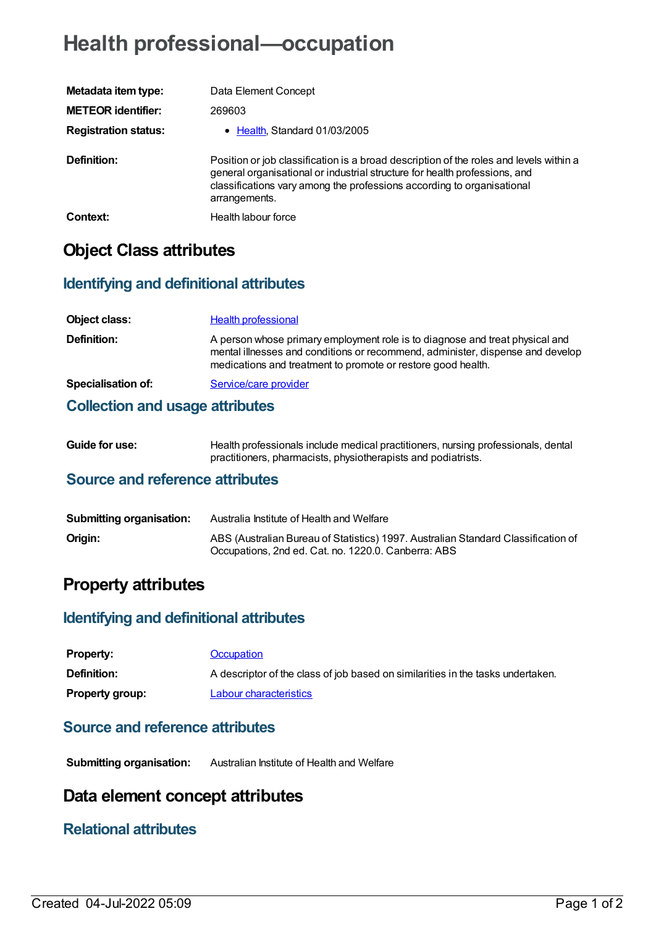# **Health professional—occupation**

| Metadata item type:         | Data Element Concept                                                                                                                                                                                                                                            |
|-----------------------------|-----------------------------------------------------------------------------------------------------------------------------------------------------------------------------------------------------------------------------------------------------------------|
| <b>METEOR identifier:</b>   | 269603                                                                                                                                                                                                                                                          |
| <b>Registration status:</b> | • Health, Standard 01/03/2005                                                                                                                                                                                                                                   |
| Definition:                 | Position or job classification is a broad description of the roles and levels within a<br>general organisational or industrial structure for health professions, and<br>classifications vary among the professions according to organisational<br>arrangements. |
| Context:                    | Health labour force                                                                                                                                                                                                                                             |

## **Object Class attributes**

### **Identifying and definitional attributes**

| Object class:                          | <b>Health professional</b>                                                                                                                                                                                                     |
|----------------------------------------|--------------------------------------------------------------------------------------------------------------------------------------------------------------------------------------------------------------------------------|
| Definition:                            | A person whose primary employment role is to diagnose and treat physical and<br>mental illnesses and conditions or recommend, administer, dispense and develop<br>medications and treatment to promote or restore good health. |
| <b>Specialisation of:</b>              | Service/care provider                                                                                                                                                                                                          |
| <b>Collection and usage attributes</b> |                                                                                                                                                                                                                                |

| <b>Guide for use:</b> | Health professionals include medical practitioners, nursing professionals, dental |
|-----------------------|-----------------------------------------------------------------------------------|
|                       | practitioners, pharmacists, physiotherapists and podiatrists.                     |

#### **Source and reference attributes**

| <b>Submitting organisation:</b> | Australia Institute of Health and Welfare                                                                                                |
|---------------------------------|------------------------------------------------------------------------------------------------------------------------------------------|
| Origin:                         | ABS (Australian Bureau of Statistics) 1997. Australian Standard Classification of<br>Occupations, 2nd ed. Cat. no. 1220.0. Canberra: ABS |

### **Property attributes**

#### **Identifying and definitional attributes**

| <b>Property:</b>       | Occupation                                                                      |
|------------------------|---------------------------------------------------------------------------------|
| <b>Definition:</b>     | A descriptor of the class of job based on similarities in the tasks undertaken. |
| <b>Property group:</b> | Labour characteristics                                                          |

#### **Source and reference attributes**

**Submitting organisation:** Australian Institute of Health and Welfare

### **Data element concept attributes**

#### **Relational attributes**